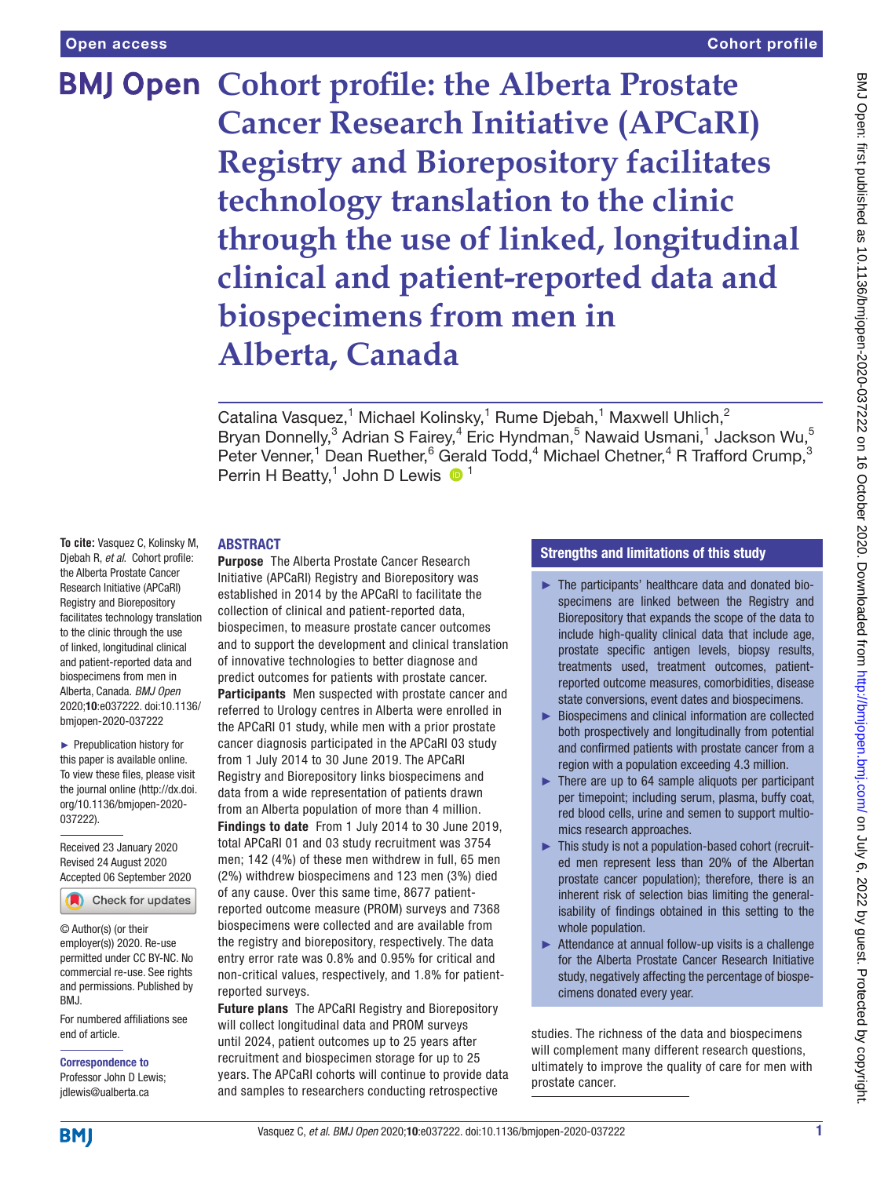# **BMJ Open Cohort profile: the Alberta Prostate Cancer Research Initiative (APCaRI) Registry and Biorepository facilitates technology translation to the clinic through the use of linked, longitudinal clinical and patient-reported data and biospecimens from men in Alberta, Canada**

Catalina Vasquez,<sup>1</sup> Michael Kolinsky,<sup>1</sup> Rume Djebah,<sup>1</sup> Maxwell Uhlich,<sup>2</sup> Bryan Donnelly,<sup>3</sup> Adrian S Fairey,<sup>4</sup> Eric Hyndman,<sup>5</sup> Nawaid Usmani,<sup>1</sup> Jackson Wu,<sup>5</sup> Peter Venner,<sup>1</sup> Dean Ruether,<sup>6</sup> Gerald Todd,<sup>4</sup> Michael Chetner,<sup>4</sup> R Trafford Crump,<sup>3</sup> Perrin H Beatty,<sup>1</sup> John D Lewis  $\bullet$ <sup>1</sup>

## ABSTRACT

**To cite:** Vasquez C, Kolinsky M, Djebah R, *et al*. Cohort profile: the Alberta Prostate Cancer Research Initiative (APCaRI) Registry and Biorepository facilitates technology translation to the clinic through the use of linked, longitudinal clinical and patient-reported data and biospecimens from men in Alberta, Canada. *BMJ Open* 2020;10:e037222. doi:10.1136/ bmjopen-2020-037222

► Prepublication history for this paper is available online. To view these files, please visit the journal online (http://dx.doi. org/10.1136/bmjopen-2020- 037222).

Received 23 January 2020 Revised 24 August 2020 Accepted 06 September 2020



© Author(s) (or their employer(s)) 2020. Re-use permitted under CC BY-NC. No commercial re-use. See rights and permissions. Published by BMJ.

For numbered affiliations see end of article.

Correspondence to Professor John D Lewis; jdlewis@ualberta.ca

Purpose The Alberta Prostate Cancer Research Initiative (APCaRI) Registry and Biorepository was established in 2014 by the APCaRI to facilitate the collection of clinical and patient-reported data, biospecimen, to measure prostate cancer outcomes and to support the development and clinical translation of innovative technologies to better diagnose and predict outcomes for patients with prostate cancer. Participants Men suspected with prostate cancer and referred to Urology centres in Alberta were enrolled in the APCaRI 01 study, while men with a prior prostate cancer diagnosis participated in the APCaRI 03 study from 1 July 2014 to 30 June 2019. The APCaRI Registry and Biorepository links biospecimens and data from a wide representation of patients drawn from an Alberta population of more than 4 million. Findings to date From 1 July 2014 to 30 June 2019, total APCaRI 01 and 03 study recruitment was 3754 men; 142 (4%) of these men withdrew in full, 65 men (2%) withdrew biospecimens and 123 men (3%) died

of any cause. Over this same time, 8677 patientreported outcome measure (PROM) surveys and 7368 biospecimens were collected and are available from the registry and biorepository, respectively. The data entry error rate was 0.8% and 0.95% for critical and non-critical values, respectively, and 1.8% for patientreported surveys.

Future plans The APCaRI Registry and Biorepository will collect longitudinal data and PROM surveys until 2024, patient outcomes up to 25 years after recruitment and biospecimen storage for up to 25 years. The APCaRI cohorts will continue to provide data and samples to researchers conducting retrospective

# Strengths and limitations of this study

- ► The participants' healthcare data and donated biospecimens are linked between the Registry and Biorepository that expands the scope of the data to include high-quality clinical data that include age, prostate specific antigen levels, biopsy results, treatments used, treatment outcomes, patientreported outcome measures, comorbidities, disease state conversions, event dates and biospecimens.
- ► Biospecimens and clinical information are collected both prospectively and longitudinally from potential and confirmed patients with prostate cancer from a region with a population exceeding 4.3 million.
- ► There are up to 64 sample aliquots per participant per timepoint; including serum, plasma, buffy coat, red blood cells, urine and semen to support multiomics research approaches.
- ► This study is not a population-based cohort (recruited men represent less than 20% of the Albertan prostate cancer population); therefore, there is an inherent risk of selection bias limiting the generalisability of findings obtained in this setting to the whole population.
- ► Attendance at annual follow-up visits is a challenge for the Alberta Prostate Cancer Research Initiative study, negatively affecting the percentage of biospecimens donated every year.

studies. The richness of the data and biospecimens will complement many different research questions, ultimately to improve the quality of care for men with prostate cancer.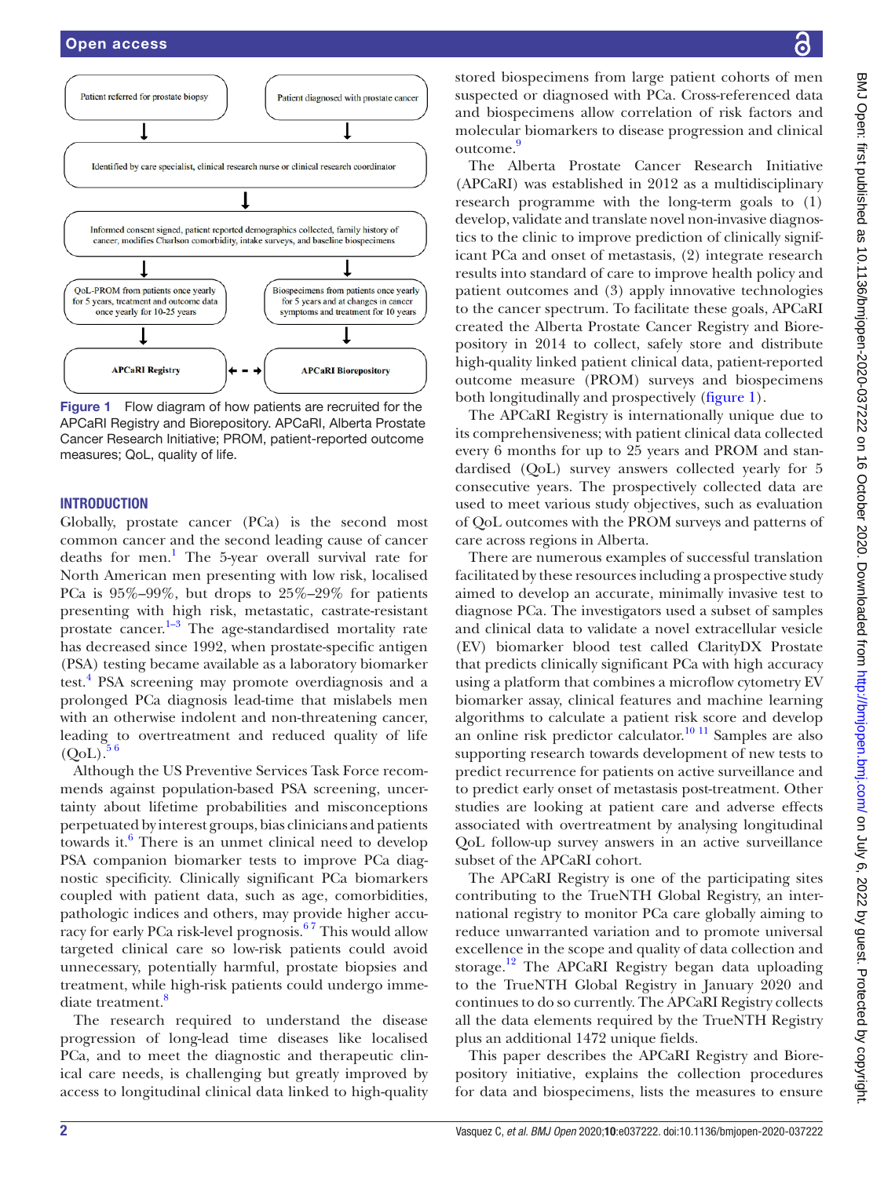

<span id="page-1-0"></span>Figure 1 Flow diagram of how patients are recruited for the APCaRI Registry and Biorepository. APCaRI, Alberta Prostate Cancer Research Initiative; PROM, patient-reported outcome measures; QoL, quality of life.

## **INTRODUCTION**

Globally, prostate cancer (PCa) is the second most common cancer and the second leading cause of cancer deaths for men.<sup>1</sup> The 5-year overall survival rate for North American men presenting with low risk, localised PCa is 95%–99%, but drops to 25%–29% for patients presenting with high risk, metastatic, castrate-resistant prostate cancer.<sup>1-3</sup> The age-standardised mortality rate has decreased since 1992, when prostate-specific antigen (PSA) testing became available as a laboratory biomarker test.<sup>4</sup> PSA screening may promote overdiagnosis and a prolonged PCa diagnosis lead-time that mislabels men with an otherwise indolent and non-threatening cancer, leading to overtreatment and reduced quality of life  $(QoL).$ 

Although the US Preventive Services Task Force recommends against population-based PSA screening, uncertainty about lifetime probabilities and misconceptions perpetuated by interest groups, bias clinicians and patients towards it. $6$  There is an unmet clinical need to develop PSA companion biomarker tests to improve PCa diagnostic specificity. Clinically significant PCa biomarkers coupled with patient data, such as age, comorbidities, pathologic indices and others, may provide higher accuracy for early PCa risk-level prognosis.<sup>67</sup> This would allow targeted clinical care so low-risk patients could avoid unnecessary, potentially harmful, prostate biopsies and treatment, while high-risk patients could undergo immediate treatment.<sup>8</sup>

The research required to understand the disease progression of long-lead time diseases like localised PCa, and to meet the diagnostic and therapeutic clinical care needs, is challenging but greatly improved by access to longitudinal clinical data linked to high-quality

stored biospecimens from large patient cohorts of men suspected or diagnosed with PCa. Cross-referenced data and biospecimens allow correlation of risk factors and molecular biomarkers to disease progression and clinical outcome.<sup>[9](#page-8-5)</sup>

The Alberta Prostate Cancer Research Initiative (APCaRI) was established in 2012 as a multidisciplinary research programme with the long-term goals to (1) develop, validate and translate novel non-invasive diagnostics to the clinic to improve prediction of clinically significant PCa and onset of metastasis, (2) integrate research results into standard of care to improve health policy and patient outcomes and (3) apply innovative technologies to the cancer spectrum. To facilitate these goals, APCaRI created the Alberta Prostate Cancer Registry and Biorepository in 2014 to collect, safely store and distribute high-quality linked patient clinical data, patient-reported outcome measure (PROM) surveys and biospecimens both longitudinally and prospectively ([figure](#page-1-0) 1).

The APCaRI Registry is internationally unique due to its comprehensiveness; with patient clinical data collected every 6 months for up to 25 years and PROM and standardised (QoL) survey answers collected yearly for 5 consecutive years. The prospectively collected data are used to meet various study objectives, such as evaluation of QoL outcomes with the PROM surveys and patterns of care across regions in Alberta.

There are numerous examples of successful translation facilitated by these resources including a prospective study aimed to develop an accurate, minimally invasive test to diagnose PCa. The investigators used a subset of samples and clinical data to validate a novel extracellular vesicle (EV) biomarker blood test called ClarityDX Prostate that predicts clinically significant PCa with high accuracy using a platform that combines a microflow cytometry EV biomarker assay, clinical features and machine learning algorithms to calculate a patient risk score and develop an online risk predictor calculator.[10 11](#page-9-0) Samples are also supporting research towards development of new tests to predict recurrence for patients on active surveillance and to predict early onset of metastasis post-treatment. Other studies are looking at patient care and adverse effects associated with overtreatment by analysing longitudinal QoL follow-up survey answers in an active surveillance subset of the APCaRI cohort.

The APCaRI Registry is one of the participating sites contributing to the TrueNTH Global Registry, an international registry to monitor PCa care globally aiming to reduce unwarranted variation and to promote universal excellence in the scope and quality of data collection and storage.<sup>12</sup> The APCaRI Registry began data uploading to the TrueNTH Global Registry in January 2020 and continues to do so currently. The APCaRI Registry collects all the data elements required by the TrueNTH Registry plus an additional 1472 unique fields.

This paper describes the APCaRI Registry and Biorepository initiative, explains the collection procedures for data and biospecimens, lists the measures to ensure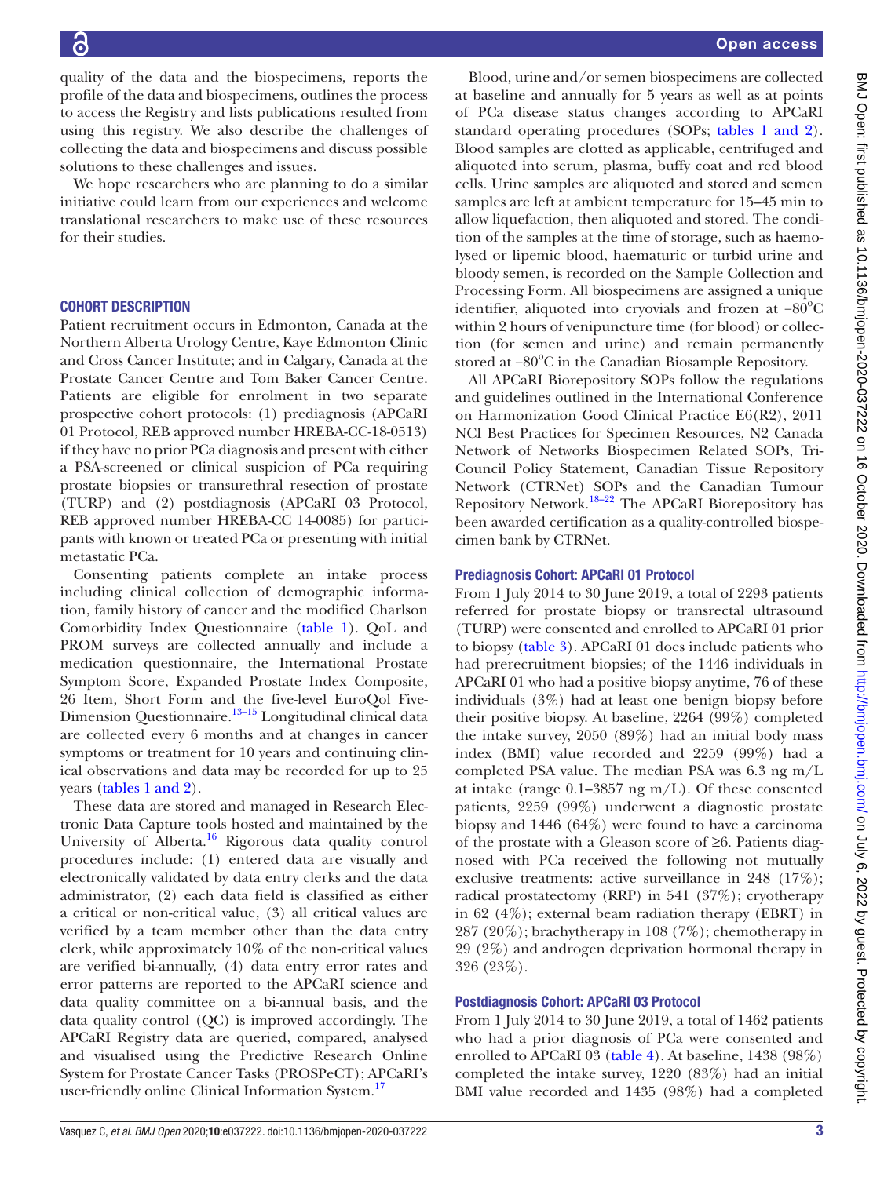quality of the data and the biospecimens, reports the profile of the data and biospecimens, outlines the process to access the Registry and lists publications resulted from using this registry. We also describe the challenges of collecting the data and biospecimens and discuss possible solutions to these challenges and issues.

We hope researchers who are planning to do a similar initiative could learn from our experiences and welcome translational researchers to make use of these resources for their studies.

## COHORT DESCRIPTION

Patient recruitment occurs in Edmonton, Canada at the Northern Alberta Urology Centre, Kaye Edmonton Clinic and Cross Cancer Institute; and in Calgary, Canada at the Prostate Cancer Centre and Tom Baker Cancer Centre. Patients are eligible for enrolment in two separate prospective cohort protocols: (1) prediagnosis (APCaRI 01 Protocol, REB approved number HREBA-CC-18-0513) if they have no prior PCa diagnosis and present with either a PSA-screened or clinical suspicion of PCa requiring prostate biopsies or transurethral resection of prostate (TURP) and (2) postdiagnosis (APCaRI 03 Protocol, REB approved number HREBA-CC 14-0085) for participants with known or treated PCa or presenting with initial metastatic PCa.

Consenting patients complete an intake process including clinical collection of demographic information, family history of cancer and the modified Charlson Comorbidity Index Questionnaire [\(table](#page-3-0) 1). QoL and PROM surveys are collected annually and include a medication questionnaire, the International Prostate Symptom Score, Expanded Prostate Index Composite, 26 Item, Short Form and the five-level EuroQol Five-Dimension Questionnaire.<sup>13–15</sup> Longitudinal clinical data are collected every 6 months and at changes in cancer symptoms or treatment for 10 years and continuing clinical observations and data may be recorded for up to 25 years (tables [1 and 2\)](#page-3-0).

These data are stored and managed in Research Electronic Data Capture tools hosted and maintained by the University of Alberta. $^{16}$  Rigorous data quality control procedures include: (1) entered data are visually and electronically validated by data entry clerks and the data administrator, (2) each data field is classified as either a critical or non-critical value, (3) all critical values are verified by a team member other than the data entry clerk, while approximately 10% of the non-critical values are verified bi-annually, (4) data entry error rates and error patterns are reported to the APCaRI science and data quality committee on a bi-annual basis, and the data quality control (QC) is improved accordingly. The APCaRI Registry data are queried, compared, analysed and visualised using the Predictive Research Online System for Prostate Cancer Tasks (PROSPeCT); APCaRI's user-friendly online Clinical Information System.<sup>[17](#page-9-4)</sup>

Blood, urine and/or semen biospecimens are collected at baseline and annually for 5 years as well as at points of PCa disease status changes according to APCaRI standard operating procedures (SOPs; tables [1 and 2\)](#page-3-0). Blood samples are clotted as applicable, centrifuged and aliquoted into serum, plasma, buffy coat and red blood cells. Urine samples are aliquoted and stored and semen samples are left at ambient temperature for 15–45 min to allow liquefaction, then aliquoted and stored. The condition of the samples at the time of storage, such as haemolysed or lipemic blood, haematuric or turbid urine and bloody semen, is recorded on the Sample Collection and Processing Form. All biospecimens are assigned a unique identifier, aliquoted into cryovials and frozen at -80°C within 2 hours of venipuncture time (for blood) or collection (for semen and urine) and remain permanently stored at -80°C in the Canadian Biosample Repository.

All APCaRI Biorepository SOPs follow the regulations and guidelines outlined in the International Conference on Harmonization Good Clinical Practice E6(R2), 2011 NCI Best Practices for Specimen Resources, N2 Canada Network of Networks Biospecimen Related SOPs, Tri-Council Policy Statement, Canadian Tissue Repository Network (CTRNet) SOPs and the Canadian Tumour Repository Network.<sup>18–22</sup> The APCaRI Biorepository has been awarded certification as a quality-controlled biospecimen bank by CTRNet.

### Prediagnosis Cohort: APCaRI 01 Protocol

From 1 July 2014 to 30 June 2019, a total of 2293 patients referred for prostate biopsy or transrectal ultrasound (TURP) were consented and enrolled to APCaRI 01 prior to biopsy ([table](#page-5-0) 3). APCaRI 01 does include patients who had prerecruitment biopsies; of the 1446 individuals in APCaRI 01 who had a positive biopsy anytime, 76 of these individuals (3%) had at least one benign biopsy before their positive biopsy. At baseline, 2264 (99%) completed the intake survey, 2050 (89%) had an initial body mass index (BMI) value recorded and 2259 (99%) had a completed PSA value. The median PSA was 6.3 ng m/L at intake (range  $0.1-3857$  ng m/L). Of these consented patients, 2259 (99%) underwent a diagnostic prostate biopsy and 1446 (64%) were found to have a carcinoma of the prostate with a Gleason score of ≥6. Patients diagnosed with PCa received the following not mutually exclusive treatments: active surveillance in 248 (17%); radical prostatectomy (RRP) in 541 (37%); cryotherapy in 62 (4%); external beam radiation therapy (EBRT) in 287 (20%); brachytherapy in 108 (7%); chemotherapy in 29 (2%) and androgen deprivation hormonal therapy in 326 (23%).

### Postdiagnosis Cohort: APCaRI 03 Protocol

From 1 July 2014 to 30 June 2019, a total of 1462 patients who had a prior diagnosis of PCa were consented and enrolled to APCaRI 03 ([table](#page-5-1) 4). At baseline, 1438 (98%) completed the intake survey, 1220 (83%) had an initial BMI value recorded and 1435 (98%) had a completed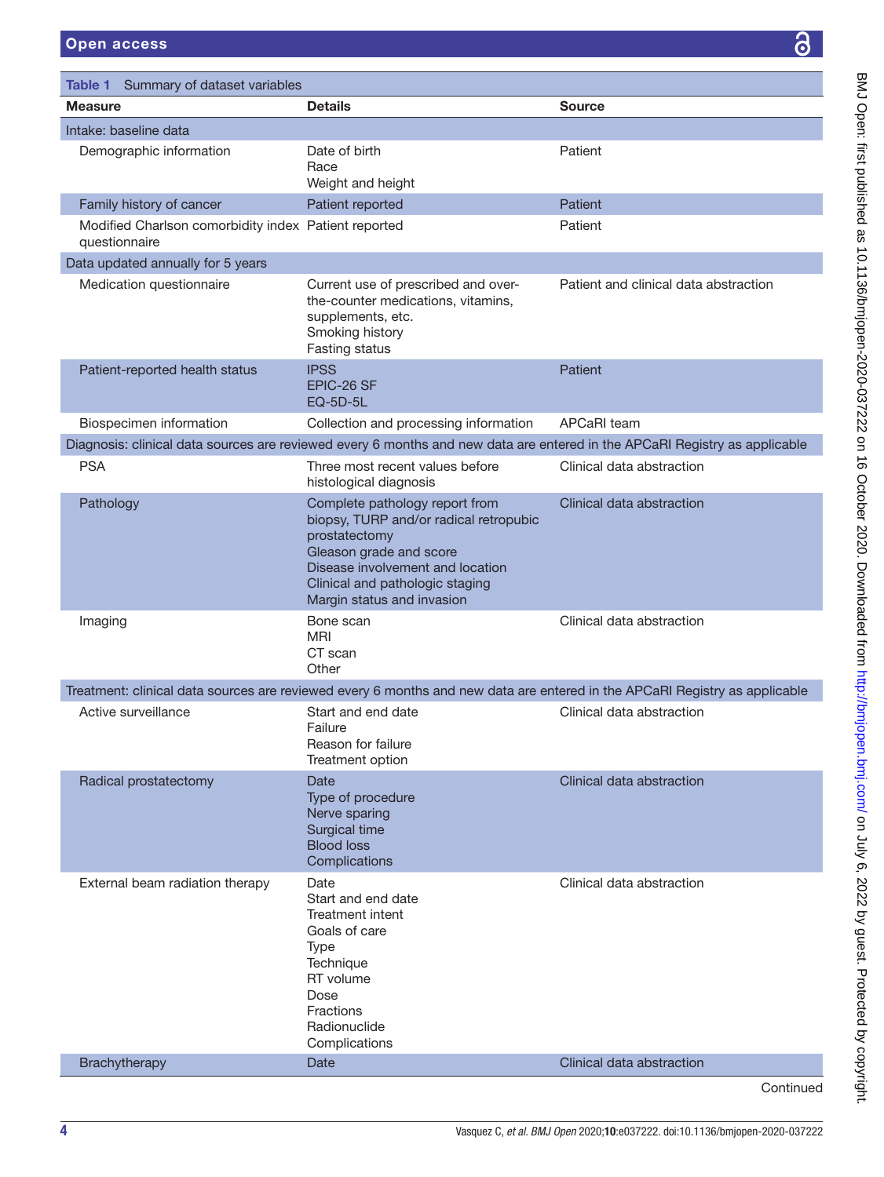<span id="page-3-0"></span>

| Table 1 Summary of dataset variables                                  |                                                                                                                                                                                                                           |                                                                                                                            |
|-----------------------------------------------------------------------|---------------------------------------------------------------------------------------------------------------------------------------------------------------------------------------------------------------------------|----------------------------------------------------------------------------------------------------------------------------|
| <b>Measure</b>                                                        | <b>Details</b>                                                                                                                                                                                                            | <b>Source</b>                                                                                                              |
| Intake: baseline data                                                 |                                                                                                                                                                                                                           |                                                                                                                            |
| Demographic information                                               | Date of birth<br>Race<br>Weight and height                                                                                                                                                                                | Patient                                                                                                                    |
| Family history of cancer                                              | Patient reported                                                                                                                                                                                                          | <b>Patient</b>                                                                                                             |
| Modified Charlson comorbidity index Patient reported<br>questionnaire |                                                                                                                                                                                                                           | Patient                                                                                                                    |
| Data updated annually for 5 years                                     |                                                                                                                                                                                                                           |                                                                                                                            |
| Medication questionnaire                                              | Current use of prescribed and over-<br>the-counter medications, vitamins,<br>supplements, etc.<br>Smoking history<br>Fasting status                                                                                       | Patient and clinical data abstraction                                                                                      |
| Patient-reported health status                                        | <b>IPSS</b><br>EPIC-26 SF<br><b>EQ-5D-5L</b>                                                                                                                                                                              | <b>Patient</b>                                                                                                             |
| Biospecimen information                                               | Collection and processing information                                                                                                                                                                                     | APCaRI team                                                                                                                |
|                                                                       |                                                                                                                                                                                                                           | Diagnosis: clinical data sources are reviewed every 6 months and new data are entered in the APCaRI Registry as applicable |
| <b>PSA</b>                                                            | Three most recent values before<br>histological diagnosis                                                                                                                                                                 | Clinical data abstraction                                                                                                  |
| Pathology                                                             | Complete pathology report from<br>biopsy, TURP and/or radical retropubic<br>prostatectomy<br>Gleason grade and score<br>Disease involvement and location<br>Clinical and pathologic staging<br>Margin status and invasion | Clinical data abstraction                                                                                                  |
| Imaging                                                               | Bone scan<br>MRI<br>CT scan<br>Other                                                                                                                                                                                      | Clinical data abstraction                                                                                                  |
|                                                                       |                                                                                                                                                                                                                           | Treatment: clinical data sources are reviewed every 6 months and new data are entered in the APCaRI Registry as applicable |
| Active surveillance                                                   | Start and end date<br>Failure<br>Reason for failure<br>Treatment option                                                                                                                                                   | Clinical data abstraction                                                                                                  |
| Radical prostatectomy                                                 | <b>Date</b><br>Type of procedure<br>Nerve sparing<br>Surgical time<br><b>Blood loss</b><br>Complications                                                                                                                  | Clinical data abstraction                                                                                                  |
| External beam radiation therapy                                       | Date<br>Start and end date<br>Treatment intent<br>Goals of care<br><b>Type</b><br>Technique<br>RT volume<br>Dose<br>Fractions<br>Radionuclide<br>Complications                                                            | Clinical data abstraction                                                                                                  |
| Brachytherapy                                                         | Date                                                                                                                                                                                                                      | Clinical data abstraction                                                                                                  |

Continued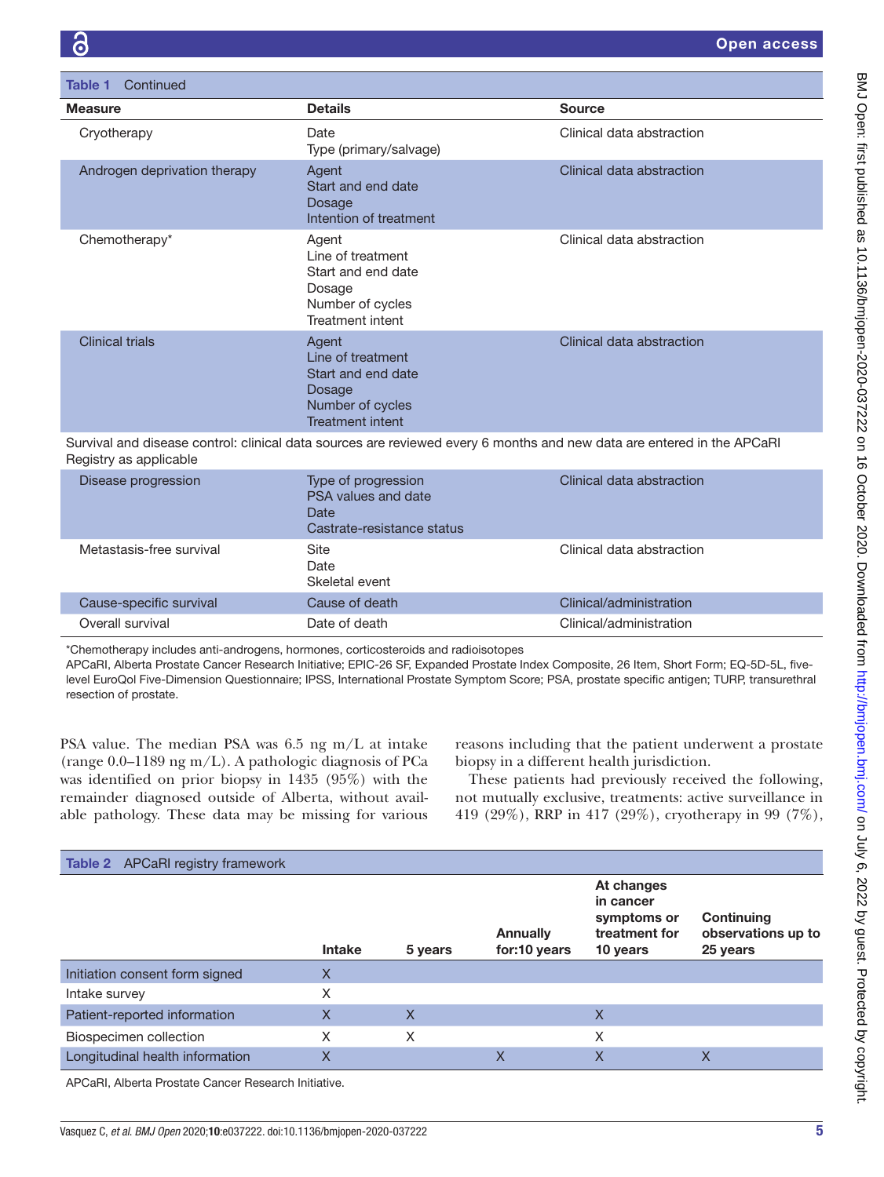| Continued<br>Table 1         |                                                                                                           |                           |
|------------------------------|-----------------------------------------------------------------------------------------------------------|---------------------------|
| <b>Measure</b>               | <b>Details</b>                                                                                            | <b>Source</b>             |
| Cryotherapy                  | Date<br>Type (primary/salvage)                                                                            | Clinical data abstraction |
| Androgen deprivation therapy | Agent<br>Start and end date<br><b>Dosage</b><br>Intention of treatment                                    | Clinical data abstraction |
| Chemotherapy*                | Agent<br>Line of treatment<br>Start and end date<br>Dosage<br>Number of cycles<br><b>Treatment intent</b> | Clinical data abstraction |
| <b>Clinical trials</b>       | Agent<br>Line of treatment<br>Start and end date<br>Dosage<br>Number of cycles<br><b>Treatment intent</b> | Clinical data abstraction |

Survival and disease control: clinical data sources are reviewed every 6 months and new data are entered in the APCaRI Registry as applicable

| Disease progression      | Type of progression<br>PSA values and date<br>Date<br>Castrate-resistance status | Clinical data abstraction |
|--------------------------|----------------------------------------------------------------------------------|---------------------------|
| Metastasis-free survival | Site<br>Date<br>Skeletal event                                                   | Clinical data abstraction |
| Cause-specific survival  | Cause of death                                                                   | Clinical/administration   |
| Overall survival         | Date of death                                                                    | Clinical/administration   |

\*Chemotherapy includes anti-androgens, hormones, corticosteroids and radioisotopes

APCaRI, Alberta Prostate Cancer Research Initiative; EPIC-26 SF, Expanded Prostate Index Composite, 26 Item, Short Form; EQ-5D-5L, fivelevel EuroQol Five-Dimension Questionnaire; IPSS, International Prostate Symptom Score; PSA, prostate specific antigen; TURP, transurethral resection of prostate.

PSA value. The median PSA was 6.5 ng m/L at intake (range 0.0–1189 ng m/L). A pathologic diagnosis of PCa was identified on prior biopsy in 1435 (95%) with the remainder diagnosed outside of Alberta, without available pathology. These data may be missing for various

reasons including that the patient underwent a prostate biopsy in a different health jurisdiction.

These patients had previously received the following, not mutually exclusive, treatments: active surveillance in 419 (29%), RRP in 417 (29%), cryotherapy in 99 (7%),

| <b>Table 2</b> APCaRI registry framework             |               |         |                                 |                                                                     |                                              |
|------------------------------------------------------|---------------|---------|---------------------------------|---------------------------------------------------------------------|----------------------------------------------|
|                                                      | <b>Intake</b> | 5 years | <b>Annually</b><br>for:10 years | At changes<br>in cancer<br>symptoms or<br>treatment for<br>10 years | Continuing<br>observations up to<br>25 years |
| Initiation consent form signed                       | Χ             |         |                                 |                                                                     |                                              |
| Intake survey                                        | X             |         |                                 |                                                                     |                                              |
| Patient-reported information                         | X             | X       |                                 | X                                                                   |                                              |
| Biospecimen collection                               | X             | X       |                                 | Χ                                                                   |                                              |
| Longitudinal health information                      | X             |         | X                               | X                                                                   | X                                            |
| APCaRI, Alberta Prostate Cancer Research Initiative. |               |         |                                 |                                                                     |                                              |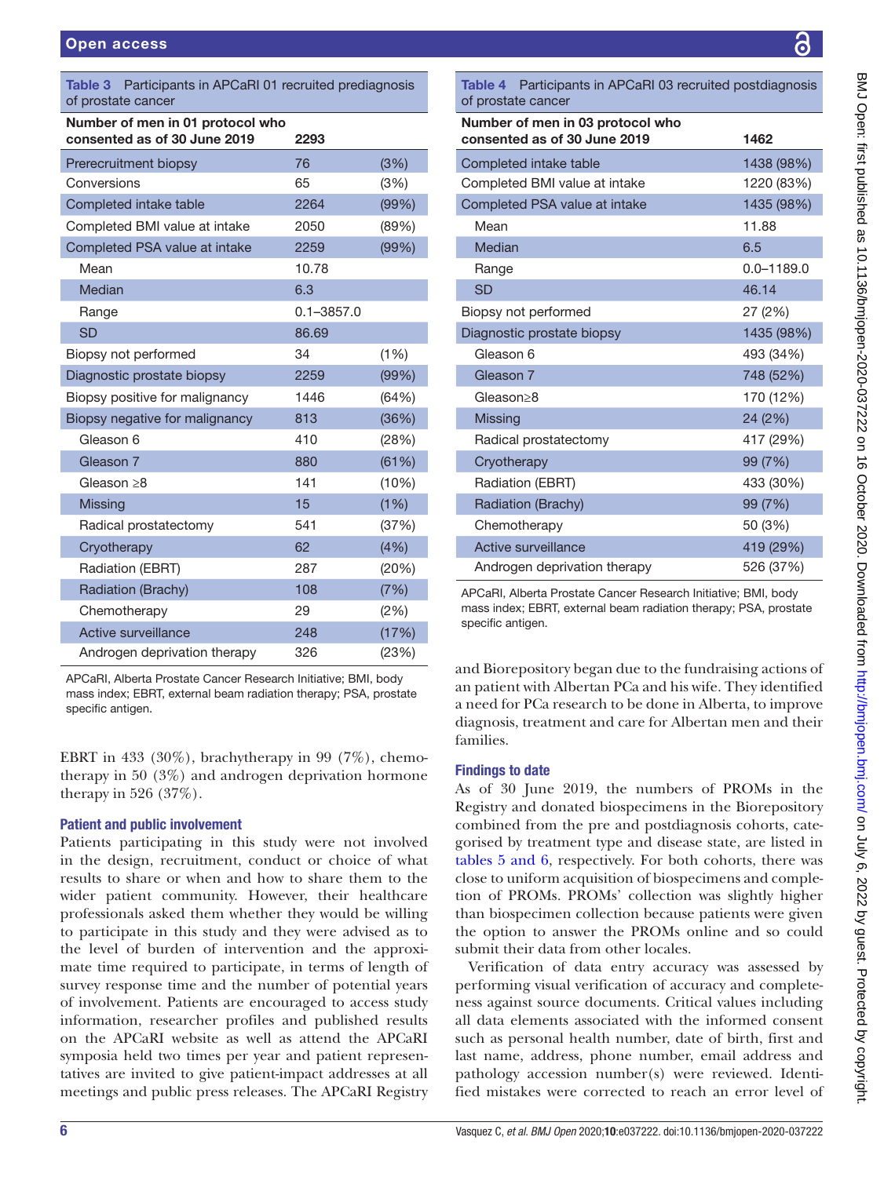<span id="page-5-0"></span>

| <b>Table 3</b> Participants in APCaRI 01 recruited prediagnosis<br>of prostate cancer |                |       |  |  |
|---------------------------------------------------------------------------------------|----------------|-------|--|--|
| Number of men in 01 protocol who<br>consented as of 30 June 2019                      | 2293           |       |  |  |
| Prerecruitment biopsy                                                                 | 76             | (3%)  |  |  |
| Conversions                                                                           | 65             | (3%)  |  |  |
| Completed intake table                                                                | 2264           | (99%) |  |  |
| Completed BMI value at intake                                                         | 2050           | (89%) |  |  |
| Completed PSA value at intake                                                         | 2259           | (99%) |  |  |
| Mean                                                                                  | 10.78          |       |  |  |
| Median                                                                                | 6.3            |       |  |  |
| Range                                                                                 | $0.1 - 3857.0$ |       |  |  |
| <b>SD</b>                                                                             | 86.69          |       |  |  |
| Biopsy not performed                                                                  | 34             | (1%)  |  |  |
| Diagnostic prostate biopsy                                                            | 2259           | (99%) |  |  |
| Biopsy positive for malignancy                                                        | 1446           | (64%) |  |  |
| Biopsy negative for malignancy                                                        | 813            | (36%) |  |  |
| Gleason 6                                                                             | 410            | (28%) |  |  |
| Gleason 7                                                                             | 880            | (61%) |  |  |
| Gleason $\geq 8$                                                                      | 141            | (10%) |  |  |
| <b>Missing</b>                                                                        | 15             | (1%)  |  |  |
| Radical prostatectomy                                                                 | 541            | (37%) |  |  |
| Cryotherapy                                                                           | 62             | (4% ) |  |  |
| Radiation (EBRT)                                                                      | 287            | (20%) |  |  |
| Radiation (Brachy)                                                                    | 108            | (7%)  |  |  |
| Chemotherapy                                                                          | 29             | (2%)  |  |  |
| <b>Active surveillance</b>                                                            | 248            | (17%) |  |  |
| Androgen deprivation therapy                                                          | 326            | (23%) |  |  |

APCaRI, Alberta Prostate Cancer Research Initiative; BMI, body mass index; EBRT, external beam radiation therapy; PSA, prostate specific antigen.

EBRT in 433 (30%), brachytherapy in 99 (7%), chemotherapy in 50 (3%) and androgen deprivation hormone therapy in 526 (37%).

# Patient and public involvement

Patients participating in this study were not involved in the design, recruitment, conduct or choice of what results to share or when and how to share them to the wider patient community. However, their healthcare professionals asked them whether they would be willing to participate in this study and they were advised as to the level of burden of intervention and the approximate time required to participate, in terms of length of survey response time and the number of potential years of involvement. Patients are encouraged to access study information, researcher profiles and published results on the APCaRI website as well as attend the APCaRI symposia held two times per year and patient representatives are invited to give patient-impact addresses at all meetings and public press releases. The APCaRI Registry

<span id="page-5-1"></span>Table 4 Participants in APCaRI 03 recruited postdiagnosis of prostate cancer

| Number of men in 03 protocol who<br>consented as of 30 June 2019 | 1462           |
|------------------------------------------------------------------|----------------|
| Completed intake table                                           | 1438 (98%)     |
| Completed BMI value at intake                                    | 1220 (83%)     |
| Completed PSA value at intake                                    | 1435 (98%)     |
| Mean                                                             | 11.88          |
| Median                                                           | 6.5            |
| Range                                                            | $0.0 - 1189.0$ |
| <b>SD</b>                                                        | 46.14          |
| Biopsy not performed                                             | 27 (2%)        |
| Diagnostic prostate biopsy                                       | 1435 (98%)     |
| Gleason 6                                                        | 493 (34%)      |
| Gleason 7                                                        | 748 (52%)      |
| Gleason>8                                                        | 170 (12%)      |
| <b>Missing</b>                                                   | 24 (2%)        |
| Radical prostatectomy                                            | 417 (29%)      |
| Cryotherapy                                                      | 99 (7%)        |
| Radiation (EBRT)                                                 | 433 (30%)      |
| Radiation (Brachy)                                               | 99 (7%)        |
| Chemotherapy                                                     | 50 (3%)        |
| Active surveillance                                              | 419 (29%)      |
| Androgen deprivation therapy                                     | 526 (37%)      |

APCaRI, Alberta Prostate Cancer Research Initiative; BMI, body mass index; EBRT, external beam radiation therapy; PSA, prostate specific antigen.

and Biorepository began due to the fundraising actions of an patient with Albertan PCa and his wife. They identified a need for PCa research to be done in Alberta, to improve diagnosis, treatment and care for Albertan men and their families.

# Findings to date

As of 30 June 2019, the numbers of PROMs in the Registry and donated biospecimens in the Biorepository combined from the pre and postdiagnosis cohorts, categorised by treatment type and disease state, are listed in tables [5 and 6,](#page-6-0) respectively. For both cohorts, there was close to uniform acquisition of biospecimens and completion of PROMs. PROMs' collection was slightly higher than biospecimen collection because patients were given the option to answer the PROMs online and so could submit their data from other locales.

Verification of data entry accuracy was assessed by performing visual verification of accuracy and completeness against source documents. Critical values including all data elements associated with the informed consent such as personal health number, date of birth, first and last name, address, phone number, email address and pathology accession number(s) were reviewed. Identified mistakes were corrected to reach an error level of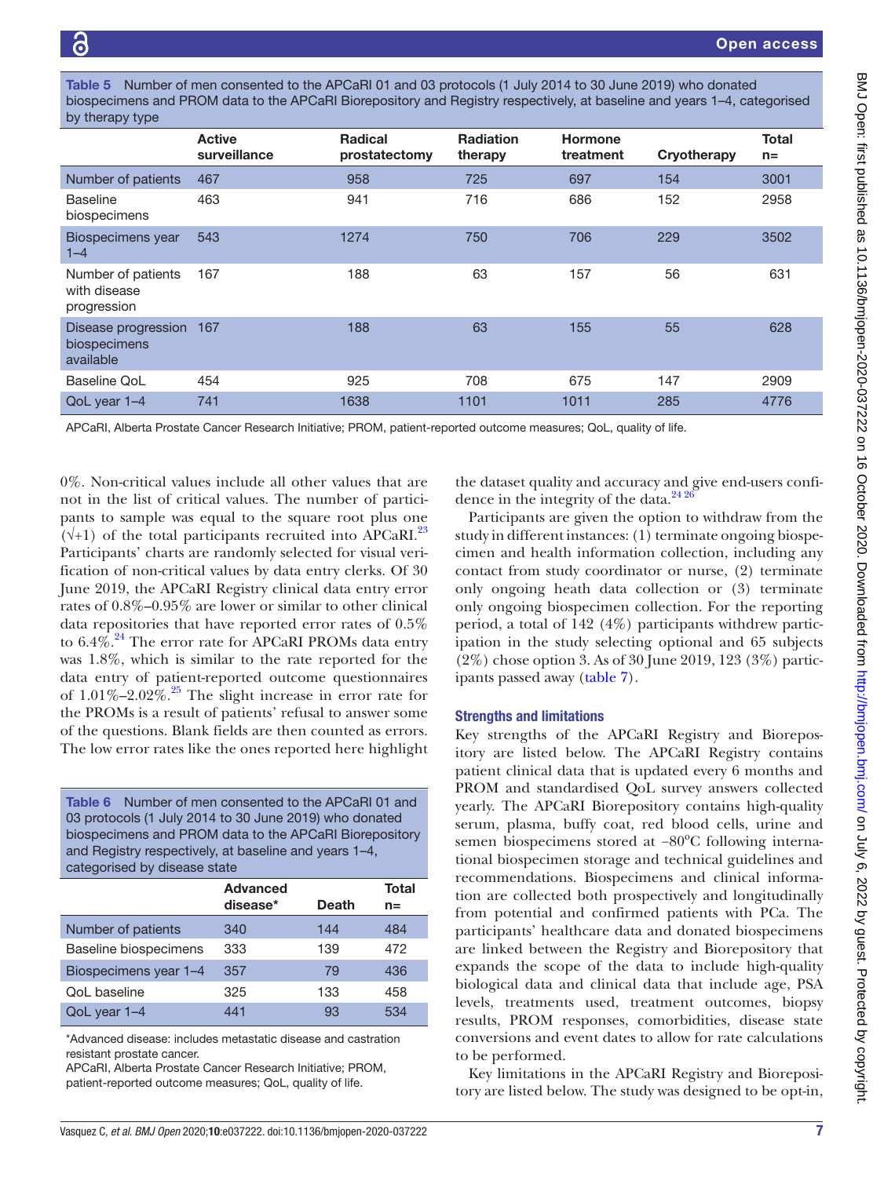<span id="page-6-0"></span>Number of men consented to the APCaRI 01 and 03 protocols (1 July 2014 to 30 June 2019) who donated biospecimens and PROM data to the APCaRI Biorepository and Registry respectively, at baseline and years 1–4, categorised by therapy type

|                                                      | <b>Active</b><br>surveillance | <b>Radical</b><br>prostatectomy | <b>Radiation</b><br>therapy | <b>Hormone</b><br>treatment | Cryotherapy | <b>Total</b><br>$n=$ |
|------------------------------------------------------|-------------------------------|---------------------------------|-----------------------------|-----------------------------|-------------|----------------------|
| Number of patients                                   | 467                           | 958                             | 725                         | 697                         | 154         | 3001                 |
| <b>Baseline</b><br>biospecimens                      | 463                           | 941                             | 716                         | 686                         | 152         | 2958                 |
| Biospecimens year<br>$1 - 4$                         | 543                           | 1274                            | 750                         | 706                         | 229         | 3502                 |
| Number of patients<br>with disease<br>progression    | 167                           | 188                             | 63                          | 157                         | 56          | 631                  |
| Disease progression 167<br>biospecimens<br>available |                               | 188                             | 63                          | 155                         | 55          | 628                  |
| Baseline QoL                                         | 454                           | 925                             | 708                         | 675                         | 147         | 2909                 |
| QoL year 1-4                                         | 741                           | 1638                            | 1101                        | 1011                        | 285         | 4776                 |
|                                                      |                               |                                 |                             |                             |             |                      |

APCaRI, Alberta Prostate Cancer Research Initiative; PROM, patient-reported outcome measures; QoL, quality of life.

0%. Non-critical values include all other values that are not in the list of critical values. The number of participants to sample was equal to the square root plus one  $(\sqrt{+1})$  of the total participants recruited into APCaRI.<sup>23</sup> Participants' charts are randomly selected for visual verification of non-critical values by data entry clerks. Of 30 June 2019, the APCaRI Registry clinical data entry error rates of 0.8%–0.95% are lower or similar to other clinical data repositories that have reported error rates of 0.5% to  $6.4\%$ .<sup>[24](#page-9-7)</sup> The error rate for APCaRI PROMs data entry was 1.8%, which is similar to the rate reported for the data entry of patient-reported outcome questionnaires of  $1.01\% - 2.02\%$ .<sup>25</sup> The slight increase in error rate for the PROMs is a result of patients' refusal to answer some of the questions. Blank fields are then counted as errors. The low error rates like the ones reported here highlight

Table 6 Number of men consented to the APCaRI 01 and 03 protocols (1 July 2014 to 30 June 2019) who donated biospecimens and PROM data to the APCaRI Biorepository and Registry respectively, at baseline and years 1–4, categorised by disease state

|                       | <b>Advanced</b><br>disease* | <b>Death</b> | Total<br>$n =$ |
|-----------------------|-----------------------------|--------------|----------------|
| Number of patients    | 340                         | 144          | 484            |
| Baseline biospecimens | 333                         | 139          | 472            |
| Biospecimens year 1-4 | 357                         | 79           | 436            |
| <b>QoL</b> baseline   | 325                         | 133          | 458            |
| QoL year 1-4          | 441                         | 93           | 534            |

\*Advanced disease: includes metastatic disease and castration resistant prostate cancer.

APCaRI, Alberta Prostate Cancer Research Initiative; PROM, patient-reported outcome measures; QoL, quality of life.

the dataset quality and accuracy and give end-users confidence in the integrity of the data. $^{24}$ <sup>26</sup>

Participants are given the option to withdraw from the study in different instances: (1) terminate ongoing biospecimen and health information collection, including any contact from study coordinator or nurse, (2) terminate only ongoing heath data collection or (3) terminate only ongoing biospecimen collection. For the reporting period, a total of 142 (4%) participants withdrew participation in the study selecting optional and 65 subjects (2%) chose option 3. As of 30 June 2019, 123 (3%) participants passed away [\(table](#page-7-0) 7).

## Strengths and limitations

Key strengths of the APCaRI Registry and Biorepository are listed below. The APCaRI Registry contains patient clinical data that is updated every 6 months and PROM and standardised QoL survey answers collected yearly. The APCaRI Biorepository contains high-quality serum, plasma, buffy coat, red blood cells, urine and semen biospecimens stored at -80°C following international biospecimen storage and technical guidelines and recommendations. Biospecimens and clinical information are collected both prospectively and longitudinally from potential and confirmed patients with PCa. The participants' healthcare data and donated biospecimens are linked between the Registry and Biorepository that expands the scope of the data to include high-quality biological data and clinical data that include age, PSA levels, treatments used, treatment outcomes, biopsy results, PROM responses, comorbidities, disease state conversions and event dates to allow for rate calculations to be performed.

Key limitations in the APCaRI Registry and Biorepository are listed below. The study was designed to be opt-in,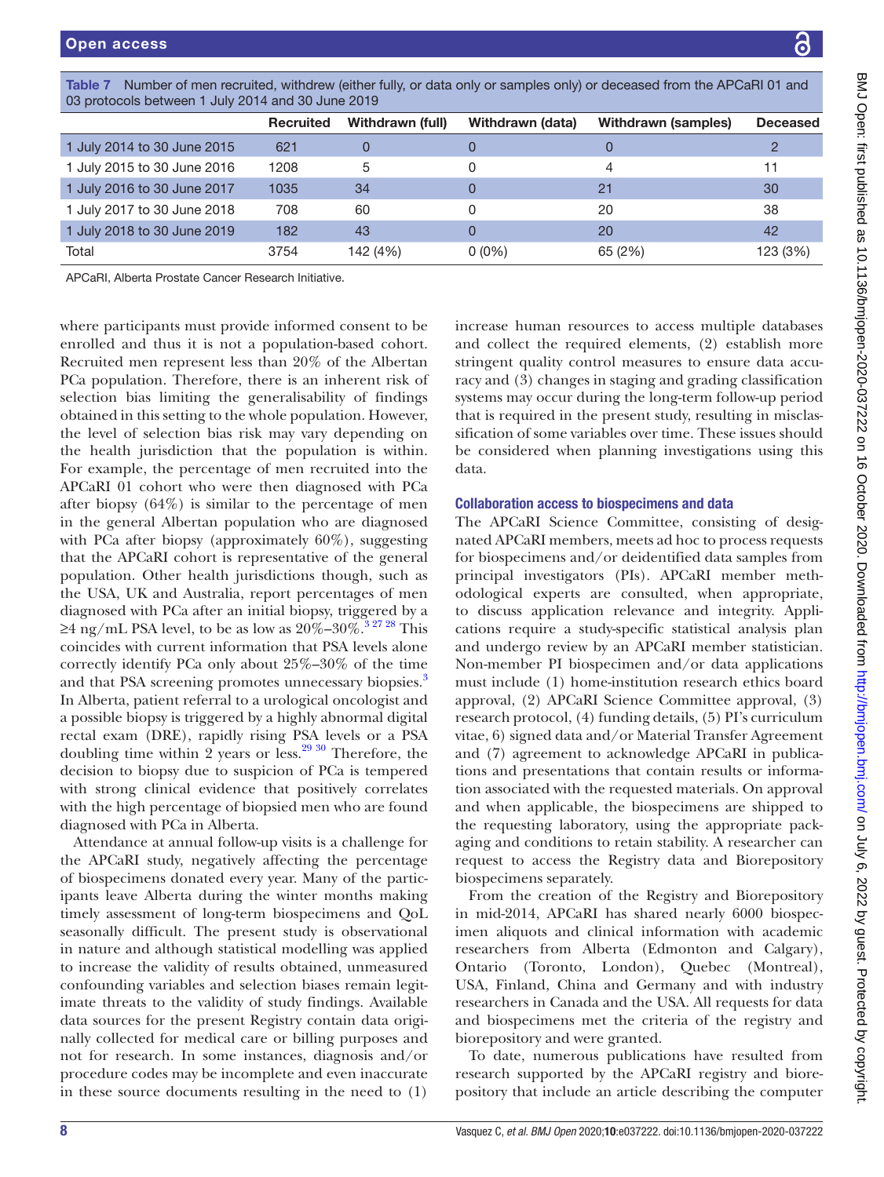| 02 biorocois permeent i duivizo la gilo 30 duile 2019 |                  |                  |                  |                     |                 |  |
|-------------------------------------------------------|------------------|------------------|------------------|---------------------|-----------------|--|
|                                                       | <b>Recruited</b> | Withdrawn (full) | Withdrawn (data) | Withdrawn (samples) | <b>Deceased</b> |  |
| 1 July 2014 to 30 June 2015                           | 621              |                  |                  |                     |                 |  |
| 1 July 2015 to 30 June 2016                           | 1208             | 5                | 0                |                     | 11              |  |
| 1 July 2016 to 30 June 2017                           | 1035             | 34               |                  | 21                  | 30              |  |
| 1 July 2017 to 30 June 2018                           | 708              | 60               |                  | 20                  | 38              |  |
| 1 July 2018 to 30 June 2019                           | 182              | 43               |                  | 20                  | 42              |  |
| Total                                                 | 3754             | 142 (4%)         | $0(0\%)$         | 65 (2%)             | 123 (3%)        |  |
|                                                       |                  |                  |                  |                     |                 |  |

<span id="page-7-0"></span>Table 7 Number of men recruited, withdrew (either fully, or data only or samples only) or deceased from the APCaRI 01 and<br>02 arctosels between 1 luly 2014 and 20 lune 2010 03 protocols between 1 July 2014 and 30 June 2019

APCaRI, Alberta Prostate Cancer Research Initiative.

where participants must provide informed consent to be enrolled and thus it is not a population-based cohort. Recruited men represent less than 20% of the Albertan PCa population. Therefore, there is an inherent risk of selection bias limiting the generalisability of findings obtained in this setting to the whole population. However, the level of selection bias risk may vary depending on the health jurisdiction that the population is within. For example, the percentage of men recruited into the APCaRI 01 cohort who were then diagnosed with PCa after biopsy (64%) is similar to the percentage of men in the general Albertan population who are diagnosed with PCa after biopsy (approximately 60%), suggesting that the APCaRI cohort is representative of the general population. Other health jurisdictions though, such as the USA, UK and Australia, report percentages of men diagnosed with PCa after an initial biopsy, triggered by a ≥4 ng/mL PSA level, to be as low as  $20\%$ – $30\%$ .<sup>32728</sup> This coincides with current information that PSA levels alone correctly identify PCa only about 25%–30% of the time and that PSA screening promotes unnecessary biopsies.<sup>[3](#page-8-6)</sup> In Alberta, patient referral to a urological oncologist and a possible biopsy is triggered by a highly abnormal digital rectal exam (DRE), rapidly rising PSA levels or a PSA doubling time within 2 years or less.<sup>29 30</sup> Therefore, the decision to biopsy due to suspicion of PCa is tempered with strong clinical evidence that positively correlates with the high percentage of biopsied men who are found diagnosed with PCa in Alberta.

Attendance at annual follow-up visits is a challenge for the APCaRI study, negatively affecting the percentage of biospecimens donated every year. Many of the participants leave Alberta during the winter months making timely assessment of long-term biospecimens and QoL seasonally difficult. The present study is observational in nature and although statistical modelling was applied to increase the validity of results obtained, unmeasured confounding variables and selection biases remain legitimate threats to the validity of study findings. Available data sources for the present Registry contain data originally collected for medical care or billing purposes and not for research. In some instances, diagnosis and/or procedure codes may be incomplete and even inaccurate in these source documents resulting in the need to (1)

increase human resources to access multiple databases and collect the required elements, (2) establish more stringent quality control measures to ensure data accuracy and (3) changes in staging and grading classification systems may occur during the long-term follow-up period that is required in the present study, resulting in misclassification of some variables over time. These issues should be considered when planning investigations using this data.

### Collaboration access to biospecimens and data

The APCaRI Science Committee, consisting of designated APCaRI members, meets ad hoc to process requests for biospecimens and/or deidentified data samples from principal investigators (PIs). APCaRI member methodological experts are consulted, when appropriate, to discuss application relevance and integrity. Applications require a study-specific statistical analysis plan and undergo review by an APCaRI member statistician. Non-member PI biospecimen and/or data applications must include (1) home-institution research ethics board approval, (2) APCaRI Science Committee approval, (3) research protocol, (4) funding details, (5) PI's curriculum vitae, 6) signed data and/or Material Transfer Agreement and (7) agreement to acknowledge APCaRI in publications and presentations that contain results or information associated with the requested materials. On approval and when applicable, the biospecimens are shipped to the requesting laboratory, using the appropriate packaging and conditions to retain stability. A researcher can request to access the Registry data and Biorepository biospecimens separately.

From the creation of the Registry and Biorepository in mid-2014, APCaRI has shared nearly 6000 biospecimen aliquots and clinical information with academic researchers from Alberta (Edmonton and Calgary), Ontario (Toronto, London), Quebec (Montreal), USA, Finland, China and Germany and with industry researchers in Canada and the USA. All requests for data and biospecimens met the criteria of the registry and biorepository and were granted.

To date, numerous publications have resulted from research supported by the APCaRI registry and biorepository that include an article describing the computer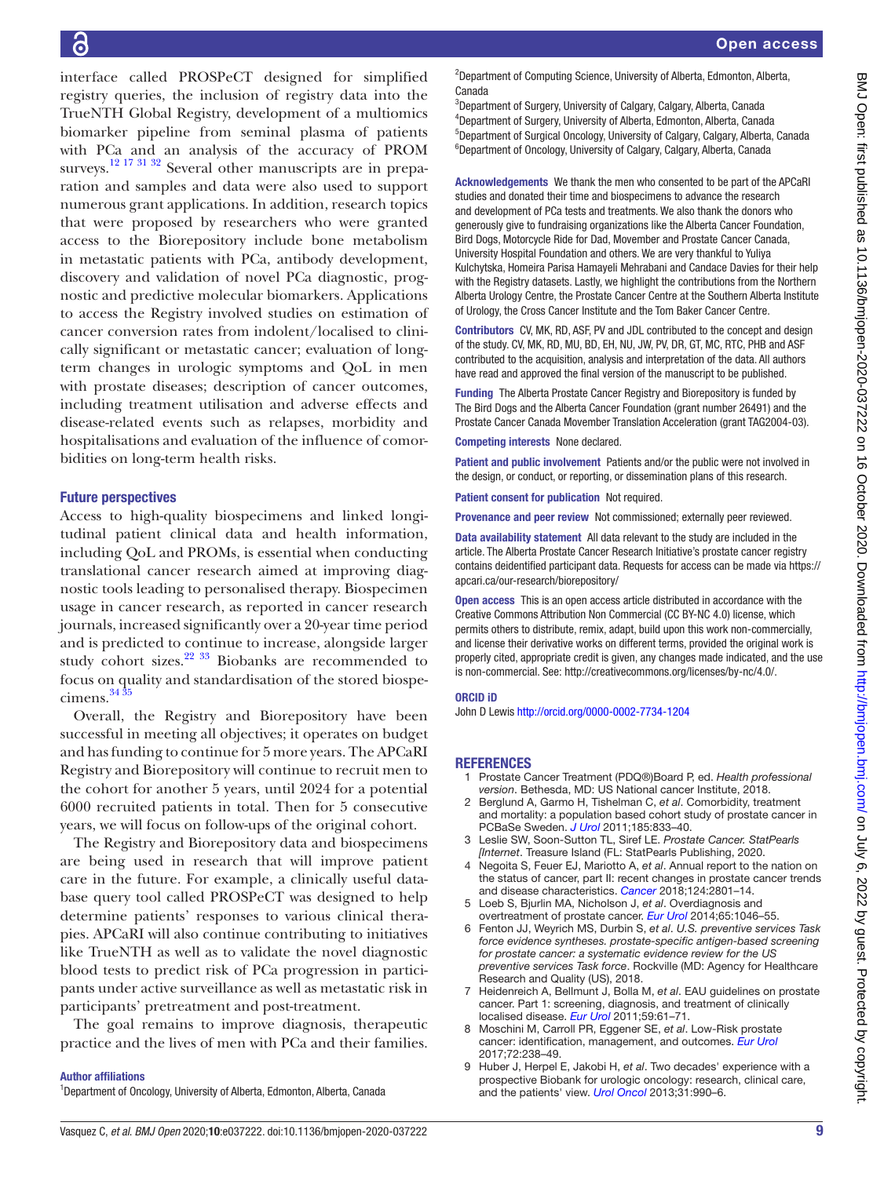interface called PROSPeCT designed for simplified registry queries, the inclusion of registry data into the TrueNTH Global Registry, development of a multiomics biomarker pipeline from seminal plasma of patients with PCa and an analysis of the accuracy of PROM surveys.<sup>12 17 31 32</sup> Several other manuscripts are in preparation and samples and data were also used to support numerous grant applications. In addition, research topics that were proposed by researchers who were granted access to the Biorepository include bone metabolism in metastatic patients with PCa, antibody development, discovery and validation of novel PCa diagnostic, prognostic and predictive molecular biomarkers. Applications to access the Registry involved studies on estimation of cancer conversion rates from indolent/localised to clinically significant or metastatic cancer; evaluation of longterm changes in urologic symptoms and QoL in men with prostate diseases; description of cancer outcomes, including treatment utilisation and adverse effects and disease-related events such as relapses, morbidity and hospitalisations and evaluation of the influence of comorbidities on long-term health risks.

## Future perspectives

Access to high-quality biospecimens and linked longitudinal patient clinical data and health information, including QoL and PROMs, is essential when conducting translational cancer research aimed at improving diagnostic tools leading to personalised therapy. Biospecimen usage in cancer research, as reported in cancer research journals, increased significantly over a 20-year time period and is predicted to continue to increase, alongside larger study cohort sizes. $22 \frac{33}{33}$  Biobanks are recommended to focus on quality and standardisation of the stored biospecimens. $3435$ 

Overall, the Registry and Biorepository have been successful in meeting all objectives; it operates on budget and has funding to continue for 5 more years. The APCaRI Registry and Biorepository will continue to recruit men to the cohort for another 5 years, until 2024 for a potential 6000 recruited patients in total. Then for 5 consecutive years, we will focus on follow-ups of the original cohort.

The Registry and Biorepository data and biospecimens are being used in research that will improve patient care in the future. For example, a clinically useful database query tool called PROSPeCT was designed to help determine patients' responses to various clinical therapies. APCaRI will also continue contributing to initiatives like TrueNTH as well as to validate the novel diagnostic blood tests to predict risk of PCa progression in participants under active surveillance as well as metastatic risk in participants' pretreatment and post-treatment.

The goal remains to improve diagnosis, therapeutic practice and the lives of men with PCa and their families.

#### Author affiliations

<sup>1</sup>Department of Oncology, University of Alberta, Edmonton, Alberta, Canada

<sup>2</sup>Department of Computing Science, University of Alberta, Edmonton, Alberta, Canada

<sup>3</sup>Department of Surgery, University of Calgary, Calgary, Alberta, Canada 4 Department of Surgery, University of Alberta, Edmonton, Alberta, Canada <sup>5</sup>Department of Surgical Oncology, University of Calgary, Calgary, Alberta, Canada <sup>6</sup>Department of Oncology, University of Calgary, Calgary, Alberta, Canada

Acknowledgements We thank the men who consented to be part of the APCaRI studies and donated their time and biospecimens to advance the research and development of PCa tests and treatments. We also thank the donors who generously give to fundraising organizations like the Alberta Cancer Foundation, Bird Dogs, Motorcycle Ride for Dad, Movember and Prostate Cancer Canada, University Hospital Foundation and others. We are very thankful to Yuliya Kulchytska, Homeira Parisa Hamayeli Mehrabani and Candace Davies for their help with the Registry datasets. Lastly, we highlight the contributions from the Northern Alberta Urology Centre, the Prostate Cancer Centre at the Southern Alberta Institute of Urology, the Cross Cancer Institute and the Tom Baker Cancer Centre.

Contributors CV, MK, RD, ASF, PV and JDL contributed to the concept and design of the study. CV, MK, RD, MU, BD, EH, NU, JW, PV, DR, GT, MC, RTC, PHB and ASF contributed to the acquisition, analysis and interpretation of the data. All authors have read and approved the final version of the manuscript to be published.

Funding The Alberta Prostate Cancer Registry and Biorepository is funded by The Bird Dogs and the Alberta Cancer Foundation (grant number 26491) and the Prostate Cancer Canada Movember Translation Acceleration (grant TAG2004-03).

Competing interests None declared.

Patient and public involvement Patients and/or the public were not involved in the design, or conduct, or reporting, or dissemination plans of this research.

Patient consent for publication Not required.

Provenance and peer review Not commissioned; externally peer reviewed.

Data availability statement All data relevant to the study are included in the article. The Alberta Prostate Cancer Research Initiative's prostate cancer registry contains deidentified participant data. Requests for access can be made via [https://](https://apcari.ca/our-research/biorepository/) [apcari.ca/our-research/biorepository/](https://apcari.ca/our-research/biorepository/)

Open access This is an open access article distributed in accordance with the Creative Commons Attribution Non Commercial (CC BY-NC 4.0) license, which permits others to distribute, remix, adapt, build upon this work non-commercially, and license their derivative works on different terms, provided the original work is properly cited, appropriate credit is given, any changes made indicated, and the use is non-commercial. See: [http://creativecommons.org/licenses/by-nc/4.0/.](http://creativecommons.org/licenses/by-nc/4.0/)

#### ORCID iD

John D Lewis <http://orcid.org/0000-0002-7734-1204>

## REFERENCES

- <span id="page-8-0"></span>1 Prostate Cancer Treatment (PDQ®)Board P, ed. *Health professional version*. Bethesda, MD: US National cancer Institute, 2018.
- 2 Berglund A, Garmo H, Tishelman C, *et al*. Comorbidity, treatment and mortality: a population based cohort study of prostate cancer in PCBaSe Sweden. *[J Urol](http://dx.doi.org/10.1016/j.juro.2010.10.061)* 2011;185:833–40.
- <span id="page-8-6"></span>3 Leslie SW, Soon-Sutton TL, Siref LE. *Prostate Cancer. StatPearls [Internet*. Treasure Island (FL: StatPearls Publishing, 2020.
- <span id="page-8-1"></span>4 Negoita S, Feuer EJ, Mariotto A, *et al*. Annual report to the nation on the status of cancer, part II: recent changes in prostate cancer trends and disease characteristics. *[Cancer](http://dx.doi.org/10.1002/cncr.31549)* 2018;124:2801–14.
- <span id="page-8-2"></span>5 Loeb S, Bjurlin MA, Nicholson J, *et al*. Overdiagnosis and overtreatment of prostate cancer. *[Eur Urol](http://dx.doi.org/10.1016/j.eururo.2013.12.062)* 2014;65:1046–55.
- <span id="page-8-3"></span>6 Fenton JJ, Weyrich MS, Durbin S, *et al*. *U.S. preventive services Task force evidence syntheses. prostate-specific antigen-based screening for prostate cancer: a systematic evidence review for the US preventive services Task force*. Rockville (MD: Agency for Healthcare Research and Quality (US), 2018.
- 7 Heidenreich A, Bellmunt J, Bolla M, *et al*. EAU guidelines on prostate cancer. Part 1: screening, diagnosis, and treatment of clinically localised disease. *[Eur Urol](http://dx.doi.org/10.1016/j.eururo.2010.10.039)* 2011;59:61–71.
- <span id="page-8-4"></span>8 Moschini M, Carroll PR, Eggener SE, *et al*. Low-Risk prostate cancer: identification, management, and outcomes. *[Eur Urol](http://dx.doi.org/10.1016/j.eururo.2017.03.009)* 2017;72:238–49.
- <span id="page-8-5"></span>9 Huber J, Herpel E, Jakobi H, *et al*. Two decades' experience with a prospective Biobank for urologic oncology: research, clinical care, and the patients' view. *[Urol Oncol](http://dx.doi.org/10.1016/j.urolonc.2012.01.016)* 2013;31:990–6.